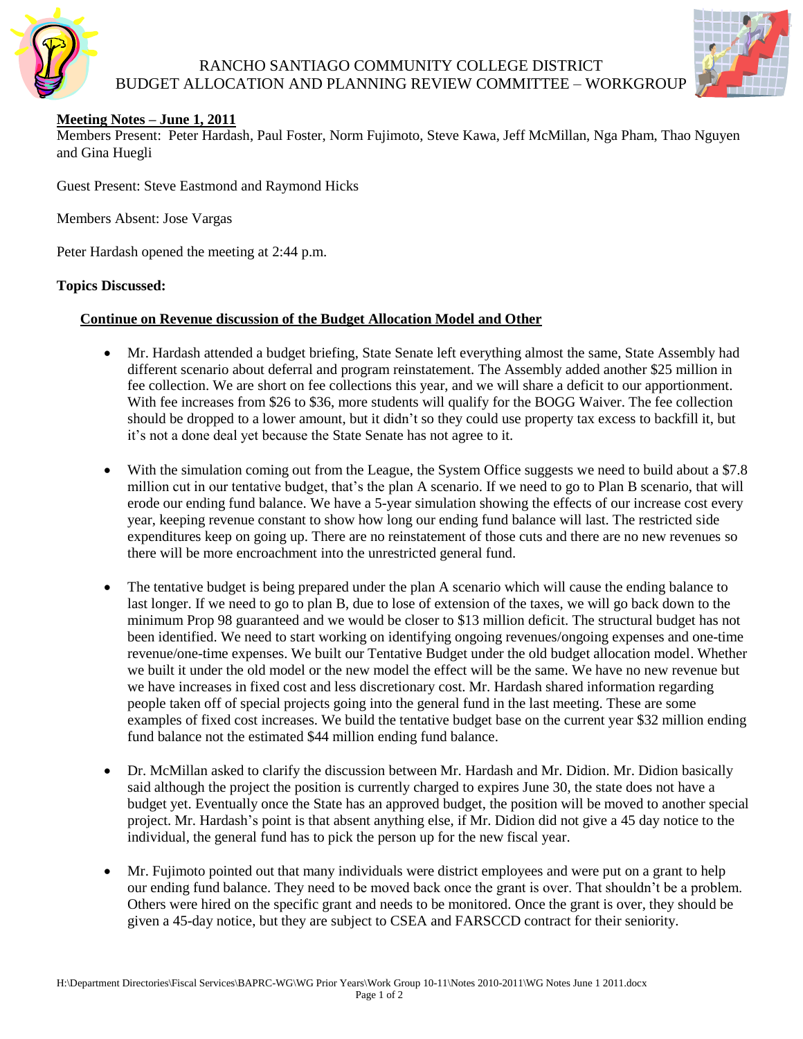

## RANCHO SANTIAGO COMMUNITY COLLEGE DISTRICT BUDGET ALLOCATION AND PLANNING REVIEW COMMITTEE – WORKGROUP



### **Meeting Notes – June 1, 2011**

Members Present: Peter Hardash, Paul Foster, Norm Fujimoto, Steve Kawa, Jeff McMillan, Nga Pham, Thao Nguyen and Gina Huegli

Guest Present: Steve Eastmond and Raymond Hicks

Members Absent: Jose Vargas

Peter Hardash opened the meeting at 2:44 p.m.

### **Topics Discussed:**

### **Continue on Revenue discussion of the Budget Allocation Model and Other**

- Mr. Hardash attended a budget briefing, State Senate left everything almost the same, State Assembly had different scenario about deferral and program reinstatement. The Assembly added another \$25 million in fee collection. We are short on fee collections this year, and we will share a deficit to our apportionment. With fee increases from \$26 to \$36, more students will qualify for the BOGG Waiver. The fee collection should be dropped to a lower amount, but it didn't so they could use property tax excess to backfill it, but it's not a done deal yet because the State Senate has not agree to it.
- With the simulation coming out from the League, the System Office suggests we need to build about a \$7.8 million cut in our tentative budget, that's the plan A scenario. If we need to go to Plan B scenario, that will erode our ending fund balance. We have a 5-year simulation showing the effects of our increase cost every year, keeping revenue constant to show how long our ending fund balance will last. The restricted side expenditures keep on going up. There are no reinstatement of those cuts and there are no new revenues so there will be more encroachment into the unrestricted general fund.
- The tentative budget is being prepared under the plan A scenario which will cause the ending balance to last longer. If we need to go to plan B, due to lose of extension of the taxes, we will go back down to the minimum Prop 98 guaranteed and we would be closer to \$13 million deficit. The structural budget has not been identified. We need to start working on identifying ongoing revenues/ongoing expenses and one-time revenue/one-time expenses. We built our Tentative Budget under the old budget allocation model. Whether we built it under the old model or the new model the effect will be the same. We have no new revenue but we have increases in fixed cost and less discretionary cost. Mr. Hardash shared information regarding people taken off of special projects going into the general fund in the last meeting. These are some examples of fixed cost increases. We build the tentative budget base on the current year \$32 million ending fund balance not the estimated \$44 million ending fund balance.
- Dr. McMillan asked to clarify the discussion between Mr. Hardash and Mr. Didion. Mr. Didion basically said although the project the position is currently charged to expires June 30, the state does not have a budget yet. Eventually once the State has an approved budget, the position will be moved to another special project. Mr. Hardash's point is that absent anything else, if Mr. Didion did not give a 45 day notice to the individual, the general fund has to pick the person up for the new fiscal year.
- Mr. Fujimoto pointed out that many individuals were district employees and were put on a grant to help our ending fund balance. They need to be moved back once the grant is over. That shouldn't be a problem. Others were hired on the specific grant and needs to be monitored. Once the grant is over, they should be given a 45-day notice, but they are subject to CSEA and FARSCCD contract for their seniority.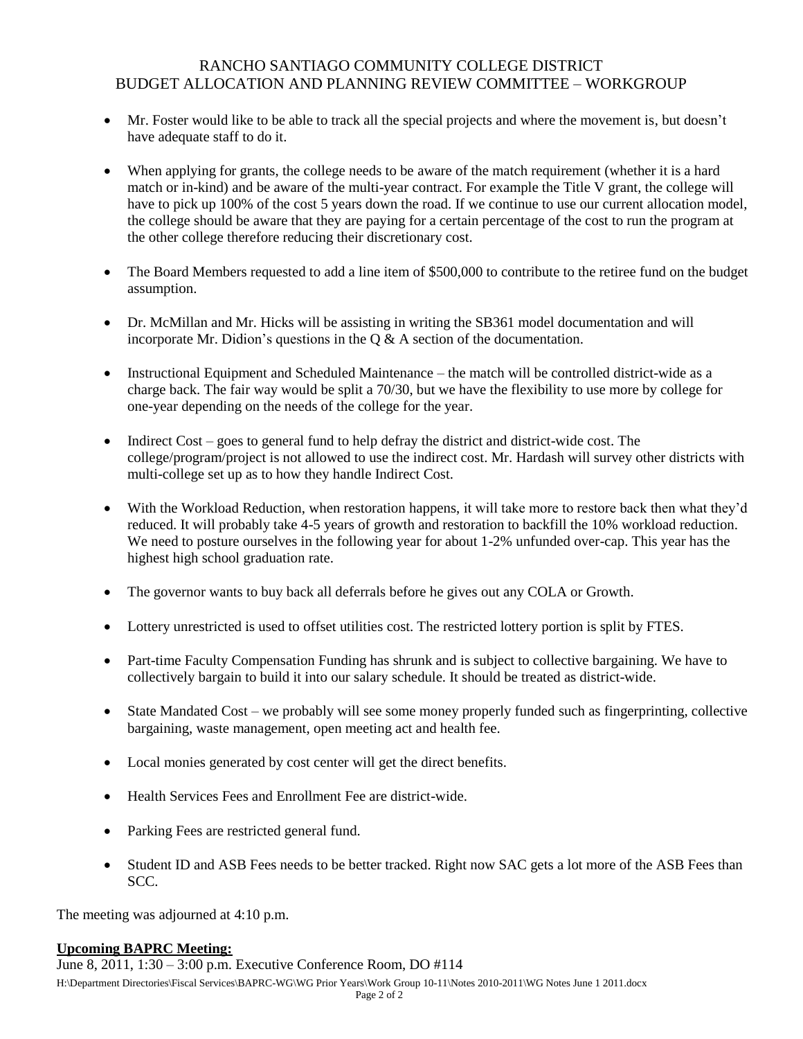### RANCHO SANTIAGO COMMUNITY COLLEGE DISTRICT BUDGET ALLOCATION AND PLANNING REVIEW COMMITTEE – WORKGROUP

- Mr. Foster would like to be able to track all the special projects and where the movement is, but doesn't have adequate staff to do it.
- When applying for grants, the college needs to be aware of the match requirement (whether it is a hard match or in-kind) and be aware of the multi-year contract. For example the Title V grant, the college will have to pick up 100% of the cost 5 years down the road. If we continue to use our current allocation model, the college should be aware that they are paying for a certain percentage of the cost to run the program at the other college therefore reducing their discretionary cost.
- The Board Members requested to add a line item of \$500,000 to contribute to the retiree fund on the budget assumption.
- Dr. McMillan and Mr. Hicks will be assisting in writing the SB361 model documentation and will incorporate Mr. Didion's questions in the Q & A section of the documentation.
- Instructional Equipment and Scheduled Maintenance the match will be controlled district-wide as a charge back. The fair way would be split a 70/30, but we have the flexibility to use more by college for one-year depending on the needs of the college for the year.
- $\bullet$  Indirect Cost goes to general fund to help defray the district and district-wide cost. The college/program/project is not allowed to use the indirect cost. Mr. Hardash will survey other districts with multi-college set up as to how they handle Indirect Cost.
- With the Workload Reduction, when restoration happens, it will take more to restore back then what they'd reduced. It will probably take 4-5 years of growth and restoration to backfill the 10% workload reduction. We need to posture ourselves in the following year for about 1-2% unfunded over-cap. This year has the highest high school graduation rate.
- The governor wants to buy back all deferrals before he gives out any COLA or Growth.
- Lottery unrestricted is used to offset utilities cost. The restricted lottery portion is split by FTES.
- Part-time Faculty Compensation Funding has shrunk and is subject to collective bargaining. We have to collectively bargain to build it into our salary schedule. It should be treated as district-wide.
- State Mandated Cost we probably will see some money properly funded such as fingerprinting, collective bargaining, waste management, open meeting act and health fee.
- Local monies generated by cost center will get the direct benefits.
- Health Services Fees and Enrollment Fee are district-wide.
- Parking Fees are restricted general fund.
- Student ID and ASB Fees needs to be better tracked. Right now SAC gets a lot more of the ASB Fees than SCC.

The meeting was adjourned at 4:10 p.m.

### **Upcoming BAPRC Meeting:**

H:\Department Directories\Fiscal Services\BAPRC-WG\WG Prior Years\Work Group 10-11\Notes 2010-2011\WG Notes June 1 2011.docx Page 2 of 2 June 8, 2011, 1:30 – 3:00 p.m. Executive Conference Room, DO #114